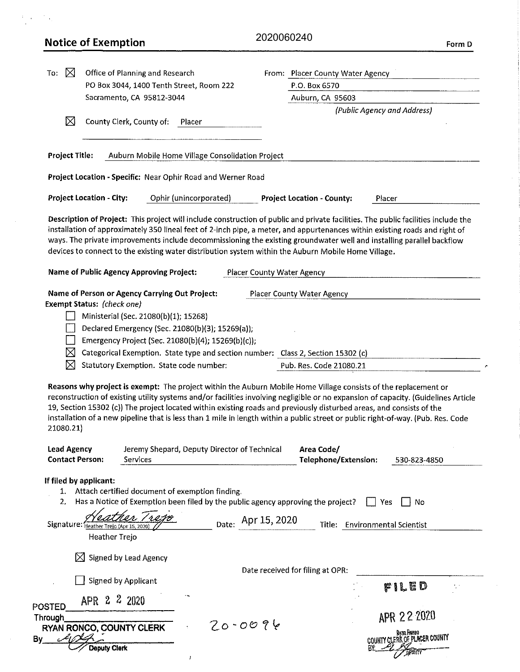|                                              | <b>Notice of Exemption</b>                                                                                                                                                                                                                                                     | 2020060240                                       | Form D                                                                                                                                                                                                                                                                                                                                                      |
|----------------------------------------------|--------------------------------------------------------------------------------------------------------------------------------------------------------------------------------------------------------------------------------------------------------------------------------|--------------------------------------------------|-------------------------------------------------------------------------------------------------------------------------------------------------------------------------------------------------------------------------------------------------------------------------------------------------------------------------------------------------------------|
| ⊠<br>To:                                     | Office of Planning and Research<br>PO Box 3044, 1400 Tenth Street, Room 222                                                                                                                                                                                                    |                                                  | From: Placer County Water Agency<br>P.O. Box 6570                                                                                                                                                                                                                                                                                                           |
|                                              | Sacramento, CA 95812-3044                                                                                                                                                                                                                                                      |                                                  | Auburn, CA 95603                                                                                                                                                                                                                                                                                                                                            |
|                                              |                                                                                                                                                                                                                                                                                |                                                  | (Public Agency and Address)                                                                                                                                                                                                                                                                                                                                 |
| ⊠                                            | County Clerk, County of:                                                                                                                                                                                                                                                       | Placer                                           |                                                                                                                                                                                                                                                                                                                                                             |
| <b>Project Title:</b>                        |                                                                                                                                                                                                                                                                                | Auburn Mobile Home Village Consolidation Project |                                                                                                                                                                                                                                                                                                                                                             |
|                                              | Project Location - Specific: Near Ophir Road and Werner Road                                                                                                                                                                                                                   |                                                  |                                                                                                                                                                                                                                                                                                                                                             |
|                                              | <b>Project Location - City:</b>                                                                                                                                                                                                                                                | Ophir (unincorporated)                           | <b>Project Location - County:</b><br>Placer                                                                                                                                                                                                                                                                                                                 |
|                                              | Name of Public Agency Approving Project:                                                                                                                                                                                                                                       | <b>Placer County Water Agency</b>                | installation of approximately 350 lineal feet of 2-inch pipe, a meter, and appurtenances within existing roads and right of<br>ways. The private improvements include decommissioning the existing groundwater well and installing parallel backflow<br>devices to connect to the existing water distribution system within the Auburn Mobile Home Village. |
|                                              |                                                                                                                                                                                                                                                                                |                                                  |                                                                                                                                                                                                                                                                                                                                                             |
| X<br>⊠                                       | Ministerial (Sec. 21080(b)(1); 15268)<br>Declared Emergency (Sec. 21080(b)(3); 15269(a));<br>Emergency Project (Sec. 21080(b)(4); 15269(b)(c));<br>Categorical Exemption. State type and section number: Class 2, Section 15302 (c)<br>Statutory Exemption. State code number: |                                                  | Pub. Res. Code 21080.21<br>Reasons why project is exempt: The project within the Auburn Mobile Home Village consists of the replacement or<br>reconstruction of existing utility systems and/or facilities involving negligible or no expansion of capacity. (Guidelines Article                                                                            |
|                                              |                                                                                                                                                                                                                                                                                |                                                  | 19, Section 15302 (c)) The project located within existing roads and previously disturbed areas, and consists of the                                                                                                                                                                                                                                        |
| 21080.21)                                    |                                                                                                                                                                                                                                                                                |                                                  | installation of a new pipeline that is less than 1 mile in length within a public street or public right-of-way. (Pub. Res. Code                                                                                                                                                                                                                            |
| <b>Lead Agency</b><br><b>Contact Person:</b> | Services                                                                                                                                                                                                                                                                       | Jeremy Shepard, Deputy Director of Technical     | Area Code/<br><b>Telephone/Extension:</b><br>530-823-4850                                                                                                                                                                                                                                                                                                   |
| 1.<br>2.                                     | If filed by applicant:<br>Attach certified document of exemption finding.<br>Has a Notice of Exemption been filed by the public agency approving the project?                                                                                                                  |                                                  | No<br>Yes.                                                                                                                                                                                                                                                                                                                                                  |
|                                              | Signature: Heather Trejo (Apr 15, 2020)                                                                                                                                                                                                                                        | Date: Apr 15, 2020                               | <b>Environmental Scientist</b><br>Title:                                                                                                                                                                                                                                                                                                                    |
|                                              | <b>Heather Trejo</b><br>Signed by Lead Agency<br>⋉                                                                                                                                                                                                                             |                                                  |                                                                                                                                                                                                                                                                                                                                                             |
|                                              | Signed by Applicant                                                                                                                                                                                                                                                            |                                                  | Date received for filing at OPR:<br>FILED                                                                                                                                                                                                                                                                                                                   |
| <b>POSTED</b>                                | 2020<br>Z<br>2<br>apr                                                                                                                                                                                                                                                          |                                                  |                                                                                                                                                                                                                                                                                                                                                             |
| <b>Through</b>                               | RYAN RONCO, COUNTY CLERK                                                                                                                                                                                                                                                       | $20 - 0096$                                      | APR 22 2020                                                                                                                                                                                                                                                                                                                                                 |